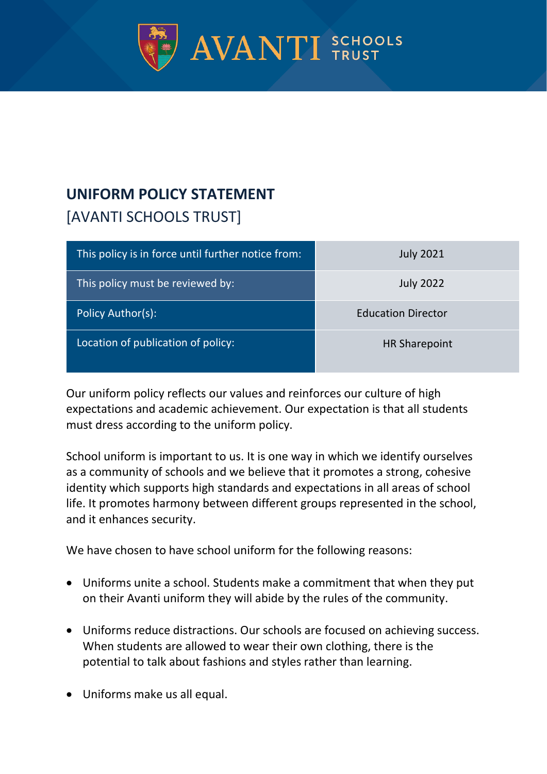

## **UNIFORM POLICY STATEMENT** [AVANTI SCHOOLS TRUST]

| This policy is in force until further notice from: | <b>July 2021</b>          |
|----------------------------------------------------|---------------------------|
| This policy must be reviewed by:                   | <b>July 2022</b>          |
| Policy Author(s):                                  | <b>Education Director</b> |
| Location of publication of policy:                 | <b>HR Sharepoint</b>      |

Our uniform policy reflects our values and reinforces our culture of high expectations and academic achievement. Our expectation is that all students must dress according to the uniform policy.

School uniform is important to us. It is one way in which we identify ourselves as a community of schools and we believe that it promotes a strong, cohesive identity which supports high standards and expectations in all areas of school life. It promotes harmony between different groups represented in the school, and it enhances security.

We have chosen to have school uniform for the following reasons:

- Uniforms unite a school. Students make a commitment that when they put on their Avanti uniform they will abide by the rules of the community.
- Uniforms reduce distractions. Our schools are focused on achieving success. When students are allowed to wear their own clothing, there is the potential to talk about fashions and styles rather than learning.
- Uniforms make us all equal.